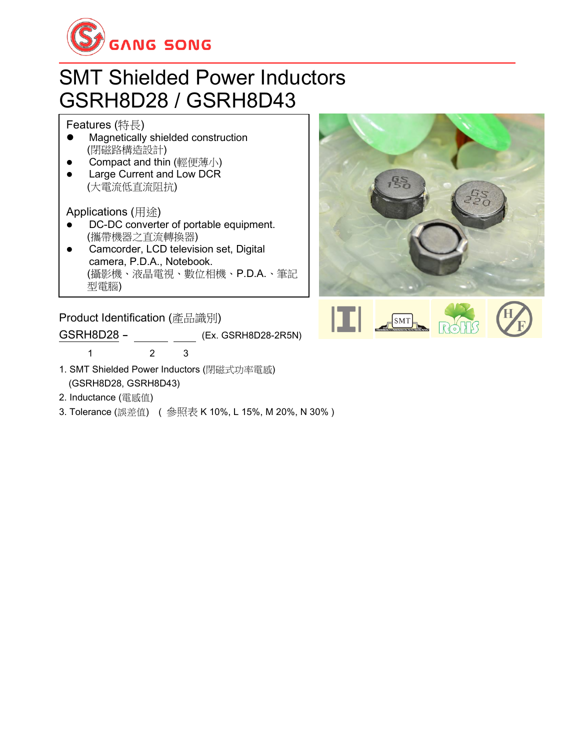

### SMT Shielded Power Inductors GSRH8D28 / GSRH8D43

Features (特長)

- ⚫ Magnetically shielded construction (閉磁路構造設計)
- Compact and thin (輕便薄小)
- Large Current and Low DCR (大電流低直流阻抗)

Applications (用途)

- DC-DC converter of portable equipment. (攜帶機器之直流轉換器)
- Camcorder, LCD television set, Digital camera, P.D.A., Notebook. (攝影機、液晶電視、數位相機、P.D.A.、筆記 型電腦) ⚫ Small size communication equipment.

**Product Identification (**產品識別)

GSRH8D28 - (Ex. GSRH8D28-2R5N)

1 2 3

- 1. SMT Shielded Power Inductors (閉磁式功率電感) (GSRH8D28, GSRH8D43)
- 2. Inductance (電感值)
- 3. Tolerance (誤差值) ( 參照表 K 10%, L 15%, M 20%, N 30% )



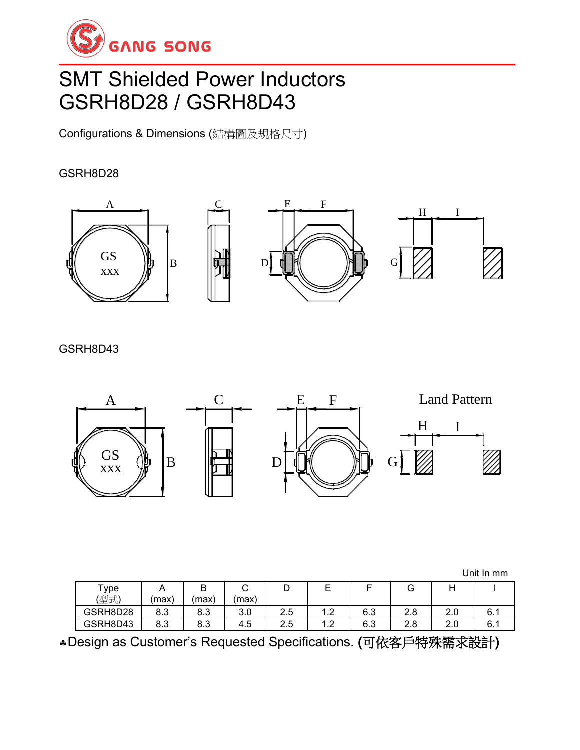

## SMT Shielded Power Inductors GSRH8D28 / GSRH8D43

Configurations & Dimensions (結構圖及規格尺寸)

#### GSRH8D28



GSRH8D43



Unit In mm

| $\tau_{\text{ype}}$ | $\cdots$ | D<br>D                 | ◡             | ◡         | -       |     | ◡          |            |     |
|---------------------|----------|------------------------|---------------|-----------|---------|-----|------------|------------|-----|
| (型式)                | (max'    | (max)                  | (max)         |           |         |     |            |            |     |
| GSRH8D28            | 8.3      | 8.3                    | $\sim$<br>3.0 | つに<br>د.ء | $\cdot$ | 6.3 | ი ი<br>z.o | o c<br>ے ۔ | 6.1 |
| GSRH8D43            | 8.3      | $\circ$ $\circ$<br>ი.ა | 4.5           | つに<br>د.ء | $\cdot$ | 6.3 | 2.8        | o c<br>ے۔  | 6.1 |

Design as Customer's Requested Specifications. (可依客戶特殊需求設計)